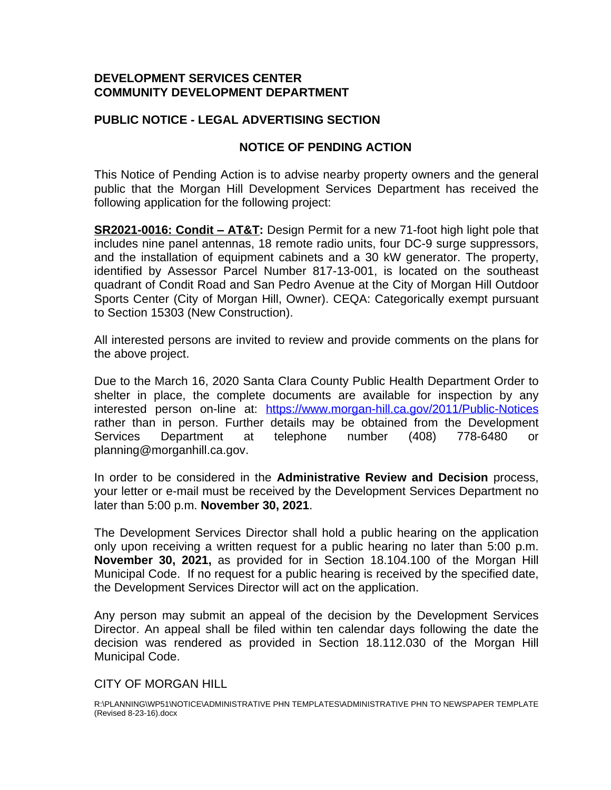## **DEVELOPMENT SERVICES CENTER COMMUNITY DEVELOPMENT DEPARTMENT**

## **PUBLIC NOTICE - LEGAL ADVERTISING SECTION**

## **NOTICE OF PENDING ACTION**

This Notice of Pending Action is to advise nearby property owners and the general public that the Morgan Hill Development Services Department has received the following application for the following project:

**SR2021-0016: Condit - AT&T:** Design Permit for a new 71-foot high light pole that includes nine panel antennas, 18 remote radio units, four DC-9 surge suppressors, and the installation of equipment cabinets and a 30 kW generator. The property, identified by Assessor Parcel Number 817-13-001, is located on the southeast quadrant of Condit Road and San Pedro Avenue at the City of Morgan Hill Outdoor Sports Center (City of Morgan Hill, Owner). CEQA: Categorically exempt pursuant to Section 15303 (New Construction).

All interested persons are invited to review and provide comments on the plans for the above project.

Due to the March 16, 2020 Santa Clara County Public Health Department Order to shelter in place, the complete documents are available for inspection by any interested person on-line at: <https://www.morgan-hill.ca.gov/2011/Public-Notices> rather than in person. Further details may be obtained from the Development Services Department at telephone number (408) 778-6480 or planning@morganhill.ca.gov.

In order to be considered in the **Administrative Review and Decision** process, your letter or e-mail must be received by the Development Services Department no later than 5:00 p.m. **November 30, 2021**.

The Development Services Director shall hold a public hearing on the application only upon receiving a written request for a public hearing no later than 5:00 p.m. **November 30, 2021,** as provided for in Section 18.104.100 of the Morgan Hill Municipal Code. If no request for a public hearing is received by the specified date, the Development Services Director will act on the application.

Any person may submit an appeal of the decision by the Development Services Director. An appeal shall be filed within ten calendar days following the date the decision was rendered as provided in Section 18.112.030 of the Morgan Hill Municipal Code.

## CITY OF MORGAN HILL

R:\PLANNING\WP51\NOTICE\ADMINISTRATIVE PHN TEMPLATES\ADMINISTRATIVE PHN TO NEWSPAPER TEMPLATE (Revised 8-23-16).docx